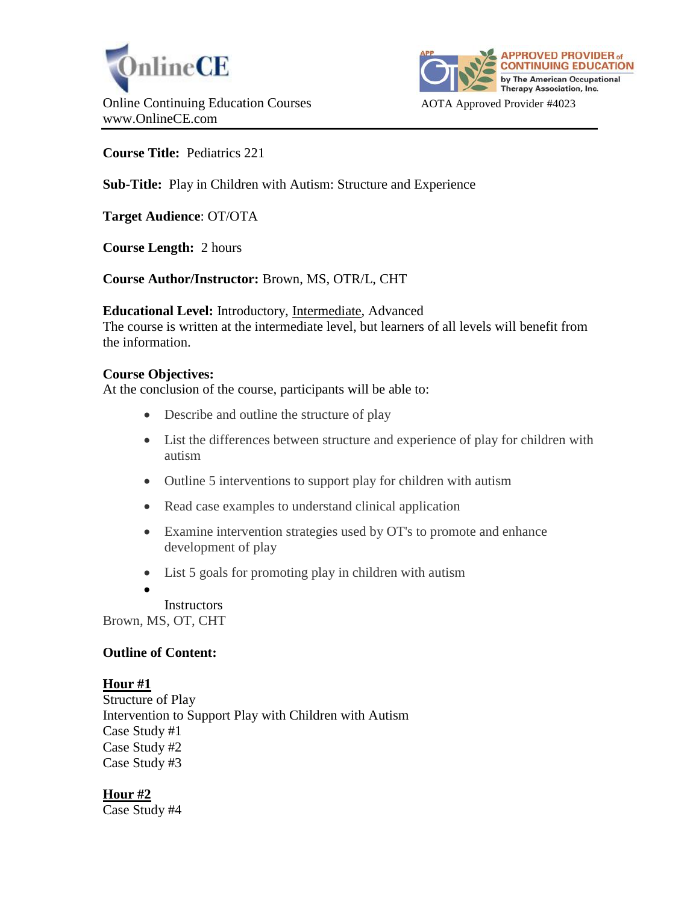



**Course Title:** Pediatrics 221

# **Sub-Title:** Play in Children with Autism: Structure and Experience

**Target Audience**: OT/OTA

**Course Length:** 2 hours

## **Course Author/Instructor:** Brown, MS, OTR/L, CHT

#### **Educational Level:** Introductory, Intermediate, Advanced

The course is written at the intermediate level, but learners of all levels will benefit from the information.

### **Course Objectives:**

At the conclusion of the course, participants will be able to:

- Describe and outline the structure of play
- List the differences between structure and experience of play for children with autism
- Outline 5 interventions to support play for children with autism
- Read case examples to understand clinical application
- Examine intervention strategies used by OT's to promote and enhance development of play
- List 5 goals for promoting play in children with autism
- $\bullet$

**Instructors** Brown, MS, OT, CHT

### **Outline of Content:**

### **Hour #1**

Structure of Play Intervention to Support Play with Children with Autism Case Study #1 Case Study #2 Case Study #3

**Hour #2** Case Study #4